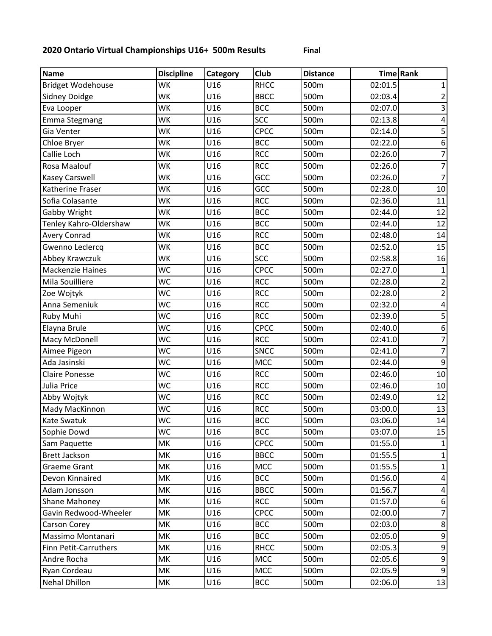## **2020 Ontario Virtual Championships U16+ 500m Results Final**

**Name Discipline Category Club Distance Time Rank** Bridget Wodehouse WK U16 RHCC 500m 02:01.5 1 Sidney Doidge WK U16 BBCC 500m 02:03.4 2 Eva Looper WK U16 BCC 500m 02:07.0 3 Emma Stegmang WK U16 SCC 500m 02:13.8 4 Gia Venter WK U16 CPCC 500m 02:14.0 5 Chloe Bryer |WK |U16 |BCC |500m | 02:22.0 | 6 Callie Loch WK U16 RCC 500m 02:26.0 7 Rosa Maalouf WK U16 RCC 500m 02:26.0 7 Kasey Carswell WK U16 GCC 500m 02:26.0 7 Katherine Fraser WK U16 GCC 500m 02:28.0 10 Sofia Colasante WK U16 RCC 500m 02:36.0 11 Gabby Wright WK U16 BCC 500m 02:44.0 12 Tenley Kahro-Oldershaw WK U16 BCC 500m 02:44.0 12 Avery Conrad WK U16 RCC 500m 02:48.0 14 Gwenno Leclercq WK U16 BCC 500m 02:52.0 15 Abbey Krawczuk WK U16 SCC 500m 02:58.8 16 Mackenzie Haines Muc | U16 | CPCC | 500m | 02:27.0 | 1 Mila Souilliere WC U16 RCC 500m 02:28.0 2 Zoe Wojtyk |WC |U16 |RCC |500m | 02:28.0 | 2 Anna Semeniuk WC U16 RCC 500m 02:32.0 4 Ruby Muhi WC U16 RCC 500m 02:39.0 5 Elayna Brule WC U16 CPCC 500m 02:40.0 6 Macy McDonell **WC** U16 RCC 500m 02:41.0 7 Aimee Pigeon WC U16 SNCC 500m 02:41.0 7 Ada Jasinski WC U16 MCC 500m 02:44.0 9 Claire Ponesse WC U16 RCC 500m 02:46.0 10 Julia Price |WC |U16 |RCC |500m | 02:46.0 | 10 Abby Wojtyk WC U16 RCC 500m 02:49.0 12 Mady MacKinnon (WC | U16 | RCC | 500m | 03:00.0 | 13 Kate Swatuk WC U16 BCC 500m 03:06.0 14 Sophie Dowd |WC |U16 |BCC |500m | 03:07.0 | 15 Sam Paquette MK U16 CPCC 500m 01:55.0 1 Brett Jackson MK U16 BBCC 500m 01:55.5 1 Graeme Grant MK U16 MCC 500m 01:55.5 1 Devon Kinnaired MK U16 BCC 500m 01:56.0 4 Adam Jonsson MK U16 BBCC 500m 01:56.7 4 Shane Mahoney MK U16 RCC 500m 01:57.0 6 Gavin Redwood-Wheeler MK U16 CPCC 500m 02:00.0 Carson Corey MK U16 BCC 500m 02:03.0 8 Massimo Montanari MK U16 BCC 500m 02:05.0 9 Finn Petit-Carruthers MK U16 RHCC 500m d 02:05.3 Andre Rocha MK U16 MCC 500m 02:05.6 9 Ryan Cordeau MK U16 MCC 500m 02:05.9 9 Nehal Dhillon MK U16 BCC 500m 02:06.0 13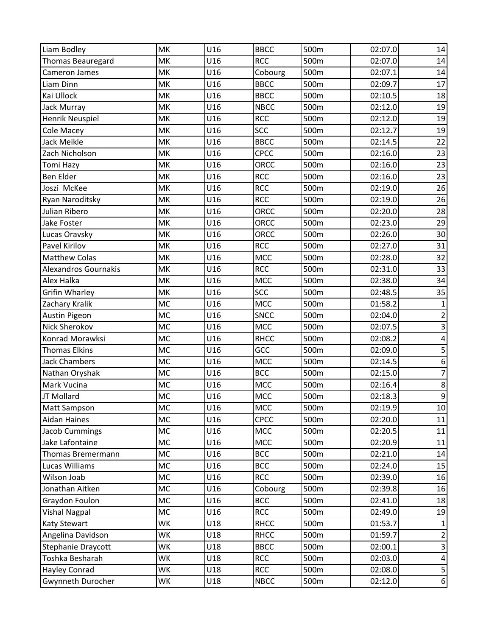| Liam Bodley                 | MK        | U16 | <b>BBCC</b> | 500m | 02:07.0 | 14                      |
|-----------------------------|-----------|-----|-------------|------|---------|-------------------------|
| Thomas Beauregard           | MK        | U16 | <b>RCC</b>  | 500m | 02:07.0 | 14                      |
| Cameron James               | MK        | U16 | Cobourg     | 500m | 02:07.1 | 14                      |
| Liam Dinn                   | MK        | U16 | <b>BBCC</b> | 500m | 02:09.7 | 17                      |
| Kai Ullock                  | MK        | U16 | <b>BBCC</b> | 500m | 02:10.5 | 18                      |
| Jack Murray                 | MK        | U16 | <b>NBCC</b> | 500m | 02:12.0 | 19                      |
| Henrik Neuspiel             | MK        | U16 | <b>RCC</b>  | 500m | 02:12.0 | 19                      |
| Cole Macey                  | MK        | U16 | <b>SCC</b>  | 500m | 02:12.7 | 19                      |
| Jack Meikle                 | MK        | U16 | <b>BBCC</b> | 500m | 02:14.5 | $\overline{22}$         |
| Zach Nicholson              | MK        | U16 | CPCC        | 500m | 02:16.0 | 23                      |
| Tomi Hazy                   | MK        | U16 | ORCC        | 500m | 02:16.0 | 23                      |
| Ben Elder                   | MK        | U16 | <b>RCC</b>  | 500m | 02:16.0 | 23                      |
| Joszi McKee                 | MK        | U16 | <b>RCC</b>  | 500m | 02:19.0 | 26                      |
| Ryan Naroditsky             | MK        | U16 | <b>RCC</b>  | 500m | 02:19.0 | 26                      |
| Julian Ribero               | MK        | U16 | ORCC        | 500m | 02:20.0 | 28                      |
| Jake Foster                 | MK        | U16 | ORCC        | 500m | 02:23.0 | 29                      |
| Lucas Oravsky               | MK        | U16 | ORCC        | 500m | 02:26.0 | 30                      |
| Pavel Kirilov               | MK        | U16 | <b>RCC</b>  | 500m | 02:27.0 | 31                      |
| <b>Matthew Colas</b>        | MK        | U16 | <b>MCC</b>  | 500m | 02:28.0 | $\overline{32}$         |
| <b>Alexandros Gournakis</b> | MK        | U16 | <b>RCC</b>  | 500m | 02:31.0 | 33                      |
| Alex Halka                  | MK        | U16 | <b>MCC</b>  | 500m | 02:38.0 | 34                      |
| <b>Grifin Wharley</b>       | MK        | U16 | <b>SCC</b>  | 500m | 02:48.5 | 35                      |
| Zachary Kralik              | <b>MC</b> | U16 | <b>MCC</b>  | 500m | 01:58.2 | $\mathbf 1$             |
| <b>Austin Pigeon</b>        | <b>MC</b> | U16 | <b>SNCC</b> | 500m | 02:04.0 | $\overline{c}$          |
| Nick Sherokov               | MC        | U16 | MCC         | 500m | 02:07.5 | 3                       |
| Konrad Morawksi             | <b>MC</b> | U16 | <b>RHCC</b> | 500m | 02:08.2 | $\overline{\mathbf{4}}$ |
| <b>Thomas Elkins</b>        | <b>MC</b> | U16 | GCC         | 500m | 02:09.0 | 5                       |
| <b>Jack Chambers</b>        | <b>MC</b> | U16 | <b>MCC</b>  | 500m | 02:14.5 | 6                       |
| Nathan Oryshak              | <b>MC</b> | U16 | <b>BCC</b>  | 500m | 02:15.0 | $\overline{7}$          |
| Mark Vucina                 | MC        | U16 | MCC         | 500m | 02:16.4 | 8                       |
| JT Mollard                  | MC        | U16 | <b>MCC</b>  | 500m | 02:18.3 | $\overline{9}$          |
| Matt Sampson                | <b>MC</b> | U16 | MCC         | 500m | 02:19.9 | 10                      |
| Aidan Haines                | <b>MC</b> | U16 | <b>CPCC</b> | 500m | 02:20.0 | 11                      |
| <b>Jacob Cummings</b>       | <b>MC</b> | U16 | <b>MCC</b>  | 500m | 02:20.5 | 11                      |
| Jake Lafontaine             | MC        | U16 | MCC         | 500m | 02:20.9 | 11                      |
| Thomas Bremermann           | MC        | U16 | <b>BCC</b>  | 500m | 02:21.0 | 14                      |
| Lucas Williams              | <b>MC</b> | U16 | <b>BCC</b>  | 500m | 02:24.0 | 15                      |
| Wilson Joab                 | MC        | U16 | <b>RCC</b>  | 500m | 02:39.0 | 16                      |
| Jonathan Aitken             | <b>MC</b> | U16 | Cobourg     | 500m | 02:39.8 | 16                      |
| Graydon Foulon              | MC        | U16 | <b>BCC</b>  | 500m | 02:41.0 | 18                      |
| <b>Vishal Nagpal</b>        | MC        | U16 | <b>RCC</b>  | 500m | 02:49.0 | 19                      |
| <b>Katy Stewart</b>         | WK        | U18 | <b>RHCC</b> | 500m | 01:53.7 | 1                       |
| Angelina Davidson           | WK        | U18 | <b>RHCC</b> | 500m | 01:59.7 | $\overline{c}$          |
| Stephanie Draycott          | WK        | U18 | <b>BBCC</b> | 500m | 02:00.1 | $\overline{\mathbf{3}}$ |
| Toshka Besharah             | WK        | U18 | <b>RCC</b>  | 500m | 02:03.0 | 4                       |
| <b>Hayley Conrad</b>        | WK        | U18 | <b>RCC</b>  | 500m | 02:08.0 | 5                       |
| Gwynneth Durocher           | WK        | U18 | <b>NBCC</b> | 500m | 02:12.0 | $6 \mid$                |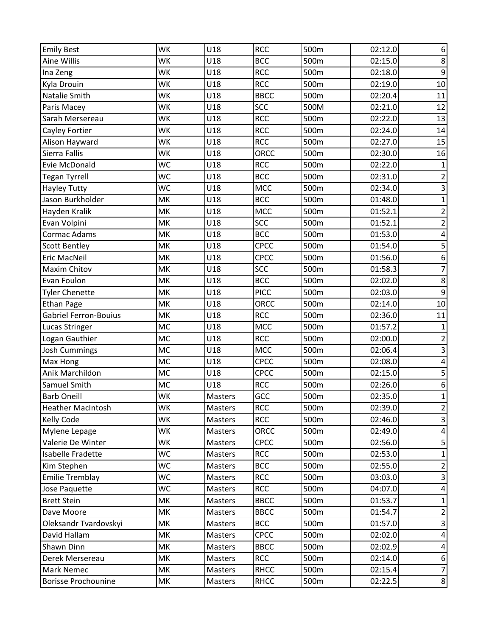| <b>Emily Best</b>            | WK        | U18            | <b>RCC</b>  | 500m | 02:12.0 | $\boldsymbol{6}$        |
|------------------------------|-----------|----------------|-------------|------|---------|-------------------------|
| Aine Willis                  | <b>WK</b> | U18            | <b>BCC</b>  | 500m | 02:15.0 | $\bf 8$                 |
| Ina Zeng                     | WK        | U18            | <b>RCC</b>  | 500m | 02:18.0 | $\boldsymbol{9}$        |
| Kyla Drouin                  | WK        | U18            | <b>RCC</b>  | 500m | 02:19.0 | 10                      |
| Natalie Smith                | WK        | U18            | <b>BBCC</b> | 500m | 02:20.4 | 11                      |
| Paris Macey                  | WK        | U18            | <b>SCC</b>  | 500M | 02:21.0 | 12                      |
| Sarah Mersereau              | <b>WK</b> | U18            | <b>RCC</b>  | 500m | 02:22.0 | 13                      |
| Cayley Fortier               | WK        | U18            | <b>RCC</b>  | 500m | 02:24.0 | 14                      |
| Alison Hayward               | WK        | U18            | <b>RCC</b>  | 500m | 02:27.0 | 15                      |
| Sierra Fallis                | WK        | U18            | ORCC        | 500m | 02:30.0 | 16                      |
| Evie McDonald                | <b>WC</b> | U18            | <b>RCC</b>  | 500m | 02:22.0 | $\mathbf 1$             |
| <b>Tegan Tyrrell</b>         | <b>WC</b> | U18            | <b>BCC</b>  | 500m | 02:31.0 | $\mathbf{2}$            |
| <b>Hayley Tutty</b>          | WC        | U18            | MCC         | 500m | 02:34.0 | ن                       |
| Jason Burkholder             | MK        | U18            | <b>BCC</b>  | 500m | 01:48.0 | $\mathbf 1$             |
| Hayden Kralik                | MK        | U18            | MCC         | 500m | 01:52.1 | $\overline{2}$          |
| Evan Volpini                 | MK        | U18            | <b>SCC</b>  | 500m | 01:52.1 | $2\vert$                |
| Cormac Adams                 | MK        | U18            | <b>BCC</b>  | 500m | 01:53.0 | 4                       |
| <b>Scott Bentley</b>         | MK        | U18            | CPCC        | 500m | 01:54.0 | 5                       |
| Eric MacNeil                 | MK        | U18            | CPCC        | 500m | 01:56.0 | $\boldsymbol{6}$        |
| Maxim Chitov                 | MK        | U18            | <b>SCC</b>  | 500m | 01:58.3 | $\overline{7}$          |
| Evan Foulon                  | MK        | U18            | <b>BCC</b>  | 500m | 02:02.0 | 8                       |
| <b>Tyler Chenette</b>        | MK        | U18            | <b>PICC</b> | 500m | 02:03.0 | $\boldsymbol{9}$        |
| <b>Ethan Page</b>            | MK        | U18            | ORCC        | 500m | 02:14.0 | 10                      |
| <b>Gabriel Ferron-Bouius</b> | MK        | U18            | <b>RCC</b>  | 500m | 02:36.0 | 11                      |
| Lucas Stringer               | MC        | U18            | MCC         | 500m | 01:57.2 | $\mathbf{1}$            |
| Logan Gauthier               | <b>MC</b> | U18            | <b>RCC</b>  | 500m | 02:00.0 | $\overline{2}$          |
| Josh Cummings                | <b>MC</b> | U18            | MCC         | 500m | 02:06.4 | $\mathsf{3}$            |
| Max Hong                     | <b>MC</b> | U18            | CPCC        | 500m | 02:08.0 | $\pmb{4}$               |
| Anik Marchildon              | <b>MC</b> | U18            | CPCC        | 500m | 02:15.0 | $\overline{\mathbf{5}}$ |
| Samuel Smith                 | MC        | U18            | <b>RCC</b>  | 500m | 02:26.0 | $\boldsymbol{6}$        |
| <b>Barb Oneill</b>           | WK        | <b>Masters</b> | GCC         | 500m | 02:35.0 | $\overline{1}$          |
| <b>Heather MacIntosh</b>     | WK        | Masters        | <b>RCC</b>  | 500m | 02:39.0 | $\overline{a}$          |
| Kelly Code                   | WK        | Masters        | <b>RCC</b>  | 500m | 02:46.0 | 3                       |
| Mylene Lepage                | <b>WK</b> | Masters        | ORCC        | 500m | 02:49.0 | 4                       |
| Valerie De Winter            | WK        | Masters        | <b>CPCC</b> | 500m | 02:56.0 | 5                       |
| Isabelle Fradette            | <b>WC</b> | Masters        | <b>RCC</b>  | 500m | 02:53.0 | $\mathbf 1$             |
| Kim Stephen                  | <b>WC</b> | <b>Masters</b> | <b>BCC</b>  | 500m | 02:55.0 | $\overline{2}$          |
| <b>Emilie Tremblay</b>       | WC        | Masters        | <b>RCC</b>  | 500m | 03:03.0 | $\mathbf{3}$            |
| Jose Paquette                | <b>WC</b> | Masters        | <b>RCC</b>  | 500m | 04:07.0 | $\overline{\mathbf{r}}$ |
| <b>Brett Stein</b>           | MK        | Masters        | <b>BBCC</b> | 500m | 01:53.7 | $\mathbf 1$             |
| Dave Moore                   | MK        | <b>Masters</b> | <b>BBCC</b> | 500m | 01:54.7 | $\overline{2}$          |
| Oleksandr Tvardovskyi        | MK        | Masters        | <b>BCC</b>  | 500m | 01:57.0 | $\mathbf{3}$            |
| David Hallam                 | МK        | Masters        | <b>CPCC</b> | 500m | 02:02.0 | $\overline{\mathbf{r}}$ |
| Shawn Dinn                   | MK        | Masters        | <b>BBCC</b> | 500m | 02:02.9 | 4                       |
| Derek Mersereau              | MK        | Masters        | <b>RCC</b>  | 500m | 02:14.0 | 6                       |
| Mark Nemec                   | MK        | Masters        | <b>RHCC</b> | 500m | 02:15.4 | $\boldsymbol{7}$        |
| <b>Borisse Prochounine</b>   | МK        | Masters        | <b>RHCC</b> | 500m | 02:22.5 | 8 <sup>1</sup>          |